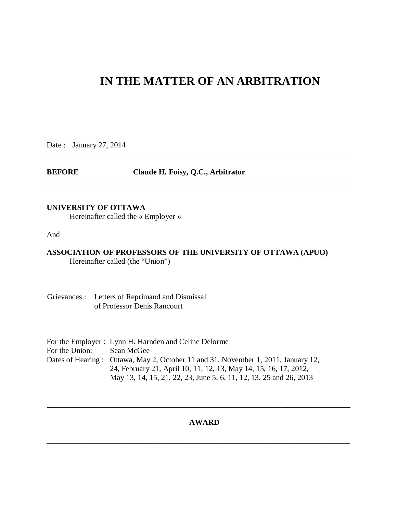# **IN THE MATTER OF AN ARBITRATION**

\_\_\_\_\_\_\_\_\_\_\_\_\_\_\_\_\_\_\_\_\_\_\_\_\_\_\_\_\_\_\_\_\_\_\_\_\_\_\_\_\_\_\_\_\_\_\_\_\_\_\_\_\_\_\_\_\_\_\_\_\_\_\_\_\_\_\_\_\_\_\_\_\_\_\_\_\_\_

\_\_\_\_\_\_\_\_\_\_\_\_\_\_\_\_\_\_\_\_\_\_\_\_\_\_\_\_\_\_\_\_\_\_\_\_\_\_\_\_\_\_\_\_\_\_\_\_\_\_\_\_\_\_\_\_\_\_\_\_\_\_\_\_\_\_\_\_\_\_\_\_\_\_\_\_\_\_

Date : January 27, 2014

**BEFORE Claude H. Foisy, Q.C., Arbitrator** 

## **UNIVERSITY OF OTTAWA**

Hereinafter called the « Employer »

And

## **ASSOCIATION OF PROFESSORS OF THE UNIVERSITY OF OTTAWA (APUO)**  Hereinafter called (the "Union")

Grievances : Letters of Reprimand and Dismissal of Professor Denis Rancourt

|                | For the Employer : Lynn H. Harnden and Celine Delorme                             |
|----------------|-----------------------------------------------------------------------------------|
| For the Union: | Sean McGee                                                                        |
|                | Dates of Hearing: Ottawa, May 2, October 11 and 31, November 1, 2011, January 12, |
|                | 24, February 21, April 10, 11, 12, 13, May 14, 15, 16, 17, 2012,                  |
|                | May 13, 14, 15, 21, 22, 23, June 5, 6, 11, 12, 13, 25 and 26, 2013                |

## **AWARD**

\_\_\_\_\_\_\_\_\_\_\_\_\_\_\_\_\_\_\_\_\_\_\_\_\_\_\_\_\_\_\_\_\_\_\_\_\_\_\_\_\_\_\_\_\_\_\_\_\_\_\_\_\_\_\_\_\_\_\_\_\_\_\_\_\_\_\_\_\_\_\_\_\_\_\_\_\_\_

\_\_\_\_\_\_\_\_\_\_\_\_\_\_\_\_\_\_\_\_\_\_\_\_\_\_\_\_\_\_\_\_\_\_\_\_\_\_\_\_\_\_\_\_\_\_\_\_\_\_\_\_\_\_\_\_\_\_\_\_\_\_\_\_\_\_\_\_\_\_\_\_\_\_\_\_\_\_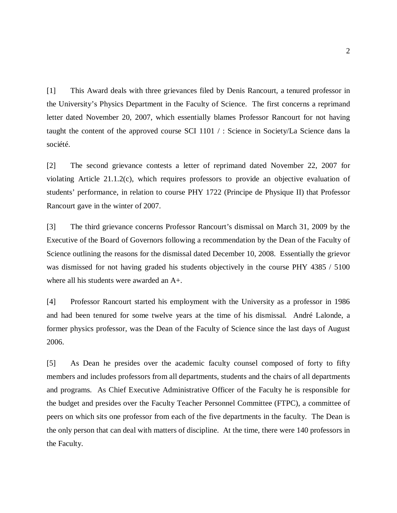[1] This Award deals with three grievances filed by Denis Rancourt, a tenured professor in the University's Physics Department in the Faculty of Science. The first concerns a reprimand letter dated November 20, 2007, which essentially blames Professor Rancourt for not having taught the content of the approved course SCI 1101 / : Science in Society/La Science dans la société.

[2] The second grievance contests a letter of reprimand dated November 22, 2007 for violating Article 21.1.2(c), which requires professors to provide an objective evaluation of students' performance, in relation to course PHY 1722 (Principe de Physique II) that Professor Rancourt gave in the winter of 2007.

[3] The third grievance concerns Professor Rancourt's dismissal on March 31, 2009 by the Executive of the Board of Governors following a recommendation by the Dean of the Faculty of Science outlining the reasons for the dismissal dated December 10, 2008. Essentially the grievor was dismissed for not having graded his students objectively in the course PHY 4385 / 5100 where all his students were awarded an A+.

[4] Professor Rancourt started his employment with the University as a professor in 1986 and had been tenured for some twelve years at the time of his dismissal. André Lalonde, a former physics professor, was the Dean of the Faculty of Science since the last days of August 2006.

[5] As Dean he presides over the academic faculty counsel composed of forty to fifty members and includes professors from all departments, students and the chairs of all departments and programs. As Chief Executive Administrative Officer of the Faculty he is responsible for the budget and presides over the Faculty Teacher Personnel Committee (FTPC), a committee of peers on which sits one professor from each of the five departments in the faculty. The Dean is the only person that can deal with matters of discipline. At the time, there were 140 professors in the Faculty.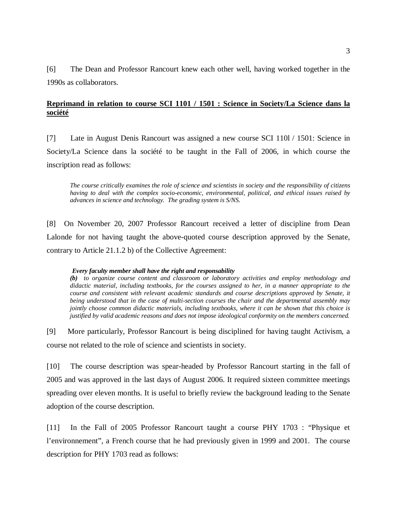[6] The Dean and Professor Rancourt knew each other well, having worked together in the 1990s as collaborators.

# **Reprimand in relation to course SCI 1101 / 1501 : Science in Society/La Science dans la société**

[7] Late in August Denis Rancourt was assigned a new course SCI 110l / 1501: Science in Society/La Science dans la société to be taught in the Fall of 2006, in which course the inscription read as follows:

*The course critically examines the role of science and scientists in society and the responsibility of citizens having to deal with the complex socio-economic, environmental, political, and ethical issues raised by advances in science and technology. The grading system is S/NS.* 

[8] On November 20, 2007 Professor Rancourt received a letter of discipline from Dean Lalonde for not having taught the above-quoted course description approved by the Senate, contrary to Article 21.1.2 b) of the Collective Agreement:

### *Every faculty member shall have the right and responsability*

*(b) to organize course content and classroom or laboratory activities and employ methodology and didactic material, including textbooks, for the courses assigned to her, in a manner appropriate to the course and consistent with relevant academic standards and course descriptions approved by Senate, it being understood that in the case of multi-section courses the chair and the departmental assembly may jointly choose common didactic materials, including textbooks, where it can be shown that this choice is justified by valid academic reasons and does not impose ideological conformity on the members concerned.* 

[9] More particularly, Professor Rancourt is being disciplined for having taught Activism, a course not related to the role of science and scientists in society.

[10] The course description was spear-headed by Professor Rancourt starting in the fall of 2005 and was approved in the last days of August 2006. It required sixteen committee meetings spreading over eleven months. It is useful to briefly review the background leading to the Senate adoption of the course description.

[11] In the Fall of 2005 Professor Rancourt taught a course PHY 1703 : "Physique et l'environnement", a French course that he had previously given in 1999 and 2001. The course description for PHY 1703 read as follows: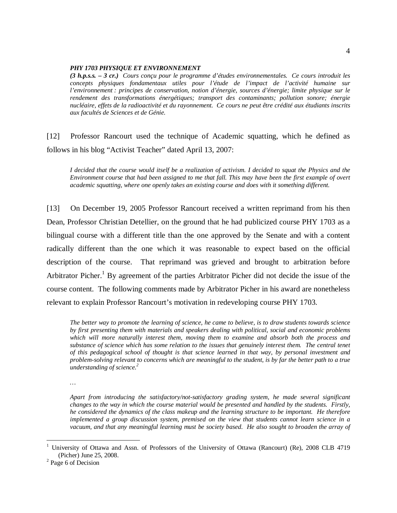#### *PHY 1703 PHYSIQUE ET ENVIRONNEMENT*

*(3 h.p.s.s. – 3 cr.) Cours conçu pour le programme d'études environnementales. Ce cours introduit les concepts physiques fondamentaux utiles pour l'étude de l'impact de l'activité humaine sur l'environnement : principes de conservation, notion d'énergie, sources d'énergie; limite physique sur le rendement des transformations énergétiques; transport des contaminants; pollution sonore; énergie nucléaire, effets de la radioactivité et du rayonnement. Ce cours ne peut être crédité aux étudiants inscrits aux facultés de Sciences et de Génie.* 

[12] Professor Rancourt used the technique of Academic squatting, which he defined as follows in his blog "Activist Teacher" dated April 13, 2007:

*I decided that the course would itself be a realization of activism. I decided to squat the Physics and the Environment course that had been assigned to me that fall. This may have been the first example of overt academic squatting, where one openly takes an existing course and does with it something different.* 

[13] On December 19, 2005 Professor Rancourt received a written reprimand from his then Dean, Professor Christian Detellier, on the ground that he had publicized course PHY 1703 as a bilingual course with a different title than the one approved by the Senate and with a content radically different than the one which it was reasonable to expect based on the official description of the course. That reprimand was grieved and brought to arbitration before Arbitrator Picher.<sup>1</sup> By agreement of the parties Arbitrator Picher did not decide the issue of the course content. The following comments made by Arbitrator Picher in his award are nonetheless relevant to explain Professor Rancourt's motivation in redeveloping course PHY 1703.

*The better way to promote the learning of science, he came to believe, is to draw students towards science by first presenting them with materials and speakers dealing with political, social and economic problems which will more naturally interest them, moving them to examine and absorb both the process and substance of science which has some relation to the issues that genuinely interest them. The central tenet of this pedagogical school of thought is that science learned in that way, by personal investment and problem-solving relevant to concerns which are meaningful to the student, is by far the better path to a true understanding of science.2*

*…* 

*Apart from introducing the satisfactory/not-satisfactory grading system, he made several significant changes to the way in which the course material would be presented and handled by the students. Firstly, he considered the dynamics of the class makeup and the learning structure to be important. He therefore implemented a group discussion system, premised on the view that students cannot learn science in a vacuum, and that any meaningful learning must be society based. He also sought to broaden the array of* 

 $\overline{a}$ 

<sup>1</sup> University of Ottawa and Assn. of Professors of the University of Ottawa (Rancourt) (Re), 2008 CLB 4719 (Picher) June 25, 2008.

 $2$  Page 6 of Decision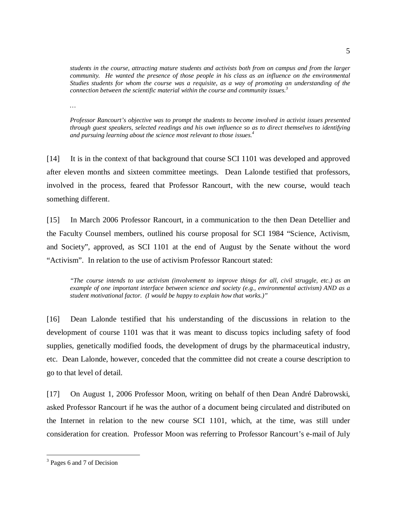*students in the course, attracting mature students and activists both from on campus and from the larger community. He wanted the presence of those people in his class as an influence on the environmental Studies students for whom the course was a requisite, as a way of promoting an understanding of the connection between the scientific material within the course and community issues.3*

*…* 

*Professor Rancourt's objective was to prompt the students to become involved in activist issues presented through guest speakers, selected readings and his own influence so as to direct themselves to identifying and pursuing learning about the science most relevant to those issues.4*

[14] It is in the context of that background that course SCI 1101 was developed and approved after eleven months and sixteen committee meetings. Dean Lalonde testified that professors, involved in the process, feared that Professor Rancourt, with the new course, would teach something different.

[15] In March 2006 Professor Rancourt, in a communication to the then Dean Detellier and the Faculty Counsel members, outlined his course proposal for SCI 1984 "Science, Activism, and Society", approved, as SCI 1101 at the end of August by the Senate without the word "Activism". In relation to the use of activism Professor Rancourt stated:

*"The course intends to use activism (involvement to improve things for all, civil struggle, etc.) as an example of one important interface between science and society (e.g., environmental activism) AND as a student motivational factor. (I would be happy to explain how that works.)"* 

[16] Dean Lalonde testified that his understanding of the discussions in relation to the development of course 1101 was that it was meant to discuss topics including safety of food supplies, genetically modified foods, the development of drugs by the pharmaceutical industry, etc. Dean Lalonde, however, conceded that the committee did not create a course description to go to that level of detail.

[17] On August 1, 2006 Professor Moon, writing on behalf of then Dean André Dabrowski, asked Professor Rancourt if he was the author of a document being circulated and distributed on the Internet in relation to the new course SCI 1101, which, at the time, was still under consideration for creation. Professor Moon was referring to Professor Rancourt's e-mail of July

 $\overline{a}$ 

<sup>&</sup>lt;sup>3</sup> Pages 6 and 7 of Decision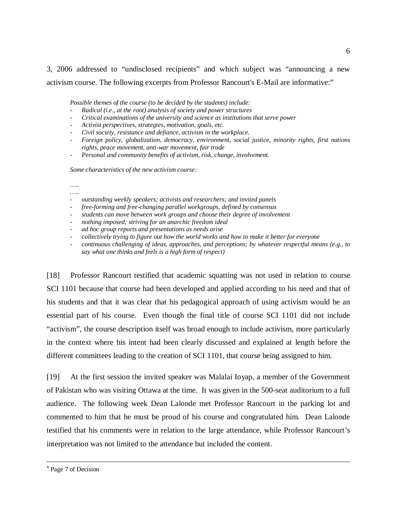3, 2006 addressed to "undisclosed recipients" and which subject was "announcing a new activism course. The following excerpts from Professor Rancourt's E-Mail are informative:"

*Possible themes of the course (to be decided by the students) include:* 

- *Radical (i.e., at the root) analysis of society and power structures*
- *Critical examinations of the university and science as institutions that serve power*
- *Activist perspectives, strategies, motivation, goals, etc.*
- *Civil society, resistance and defiance, activism in the workplace.*
- *Foreign policy, globalization, democracy, environment, social justice, minority rights, first nations rights, peace movement, anti-war movement, fair trade*
- *Personal and community benefits of activism, risk, change, involvement.*

*Some characteristics of the new activism course:* 

*….. …..* 

- *outstanding weekly speakers; activists and researchers; and invited panels*
- *free-forming and free-changing parallel workgroups, defined by consensus*
- *students can move between work groups and choose their degree of involvement*
- *nothing imposed; striving for an anarchic freedom ideal*
- *ad hoc group reports and presentations as needs arise*
- *collectively trying to figure out how the world works and how to make it better for everyone*
- *continuous challenging of ideas, approaches, and perceptions; by whatever respectful means (e.g., to say what one thinks and feels is a high form of respect)*

[18] Professor Rancourt testified that academic squatting was not used in relation to course SCI 1101 because that course had been developed and applied according to his need and that of his students and that it was clear that his pedagogical approach of using activism would be an essential part of his course. Even though the final title of course SCI 1101 did not include "activism", the course description itself was broad enough to include activism, more particularly in the context where his intent had been clearly discussed and explained at length before the different committees leading to the creation of SCI 1101, that course being assigned to him.

[19] At the first session the invited speaker was Malalai Ioyap, a member of the Government of Pakistan who was visiting Ottawa at the time. It was given in the 500-seat auditorium to a full audience. The following week Dean Lalonde met Professor Rancourt in the parking lot and commented to him that he must be proud of his course and congratulated him. Dean Lalonde testified that his comments were in relation to the large attendance, while Professor Rancourt's interpretation was not limited to the attendance but included the content.

 $\frac{1}{4}$ <sup>4</sup> Page 7 of Decision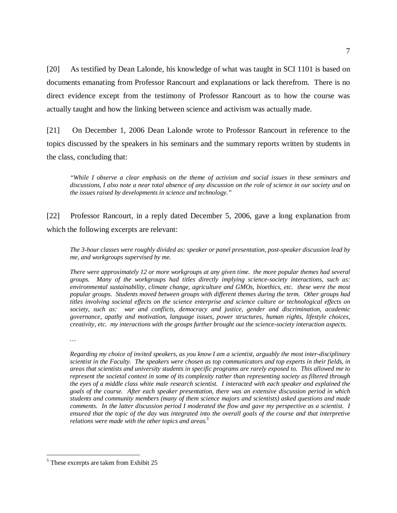[20] As testified by Dean Lalonde, his knowledge of what was taught in SCI 1101 is based on documents emanating from Professor Rancourt and explanations or lack therefrom. There is no direct evidence except from the testimony of Professor Rancourt as to how the course was actually taught and how the linking between science and activism was actually made.

[21] On December 1, 2006 Dean Lalonde wrote to Professor Rancourt in reference to the topics discussed by the speakers in his seminars and the summary reports written by students in the class, concluding that:

*"While I observe a clear emphasis on the theme of activism and social issues in these seminars and discussions, I also note a near total absence of any discussion on the role of science in our society and on the issues raised by developments in science and technology."* 

[22] Professor Rancourt, in a reply dated December 5, 2006, gave a long explanation from which the following excerpts are relevant:

*The 3-hour classes were roughly divided as: speaker or panel presentation, post-speaker discussion lead by me, and workgroups supervised by me.* 

*There were approximately 12 or more workgroups at any given time. the more popular themes had several groups. Many of the workgroups had titles directly implying science-society interactions, such as: environmental sustainability, climate change, agriculture and GMOs, bioethics, etc. these were the most popular groups. Students moved between groups with different themes during the term. Other groups had titles involving societal effects on the science enterprise and science culture or technological effects on society, such as: war and conflicts, democracy and justice, gender and discrimination, academic governance, apathy and motivation, language issues, power structures, human rights, lifestyle choices, creativity, etc. my interactions with the groups further brought out the science-society interaction aspects.* 

*…* 

 $\overline{a}$ 

*Regarding my choice of invited speakers, as you know I am a scientist, arguably the most inter-disciplinary scientist in the Faculty. The speakers were chosen as top communicators and top experts in their fields, in areas that scientists and university students in specific programs are rarely exposed to. This allowed me to represent the societal context in some of its complexity rather than representing society as filtered through the eyes of a middle class white male research scientist. I interacted with each speaker and explained the goals of the course. After each speaker presentation, there was an extensive discussion period in which students and community members (many of them science majors and scientists) asked questions and made comments. In the latter discussion period I moderated the flow and gave my perspective as a scientist. I ensured that the topic of the day was integrated into the overall goals of the course and that interpretive relations were made with the other topics and areas.5*

<sup>&</sup>lt;sup>5</sup> These excerpts are taken from Exhibit 25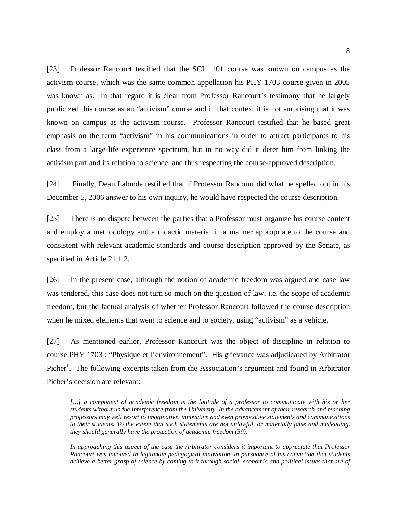[23] Professor Rancourt testified that the SCI 1101 course was known on campus as the activism course, which was the same common appellation his PHY 1703 course given in 2005 was known as. In that regard it is clear from Professor Rancourt's testimony that he largely publicized this course as an "activism" course and in that context it is not surprising that it was known on campus as the activism course. Professor Rancourt testified that he based great emphasis on the term "activism" in his communications in order to attract participants to his class from a large-life experience spectrum, but in no way did it deter him from linking the activism part and its relation to science, and thus respecting the course-approved description.

[24] Finally, Dean Lalonde testified that if Professor Rancourt did what he spelled out in his December 5, 2006 answer to his own inquiry, he would have respected the course description.

[25] There is no dispute between the parties that a Professor must organize his course content and employ a methodology and a didactic material in a manner appropriate to the course and consistent with relevant academic standards and course description approved by the Senate, as specified in Article 21.1.2.

[26] In the present case, although the notion of academic freedom was argued and case law was tendered, this case does not turn so much on the question of law, i.e. the scope of academic freedom, but the factual analysis of whether Professor Rancourt followed the course description when he mixed elements that went to science and to society, using "activism" as a vehicle.

[27] As mentioned earlier, Professor Rancourt was the object of discipline in relation to course PHY 1703 : "Physique et l'environnement". His grievance was adjudicated by Arbitrator Picher<sup>1</sup>. The following excerpts taken from the Association's argument and found in Arbitrator Picher's decision are relevant:

[...] a component of academic freedom is the latitude of a professor to communicate with his or her *students without undue interference from the University. In the advancement of their research and teaching professors may well resort to imaginative, innovative and even provocative statements and communications to their students. To the extent that such statements are not unlawful, or materially false and misleading, they should generally have the protection of academic freedom (59).* 

*In approaching this aspect of the case the Arbitrator considers it important to appreciate that Professor Rancourt was involved in legitimate pedagogical innovation, in pursuance of his conviction that students achieve a better grasp of science by coming to it through social, economic and political issues that are of*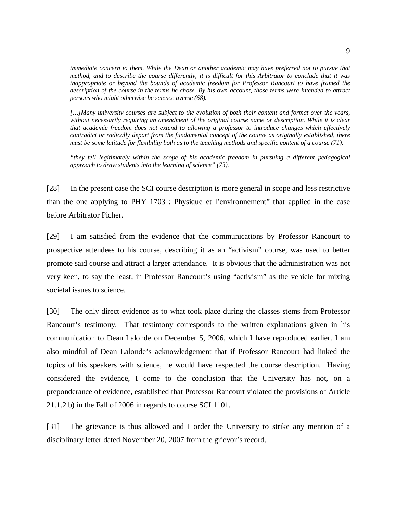*immediate concern to them. While the Dean or another academic may have preferred not to pursue that method, and to describe the course differently, it is difficult for this Arbitrator to conclude that it was inappropriate or beyond the bounds of academic freedom for Professor Rancourt to have framed the description of the course in the terms he chose. By his own account, those terms were intended to attract persons who might otherwise be science averse (68).* 

*[…]Many university courses are subject to the evolution of both their content and format over the years, without necessarily requiring an amendment of the original course name or description. While it is clear that academic freedom does not extend to allowing a professor to introduce changes which effectively contradict or radically depart from the fundamental concept of the course as originally established, there must be some latitude for flexibility both as to the teaching methods and specific content of a course (71).* 

*"they fell legitimately within the scope of his academic freedom in pursuing a different pedagogical approach to draw students into the learning of science" (73).* 

[28] In the present case the SCI course description is more general in scope and less restrictive than the one applying to PHY 1703 : Physique et l'environnement" that applied in the case before Arbitrator Picher.

[29] I am satisfied from the evidence that the communications by Professor Rancourt to prospective attendees to his course, describing it as an "activism" course, was used to better promote said course and attract a larger attendance. It is obvious that the administration was not very keen, to say the least, in Professor Rancourt's using "activism" as the vehicle for mixing societal issues to science.

[30] The only direct evidence as to what took place during the classes stems from Professor Rancourt's testimony. That testimony corresponds to the written explanations given in his communication to Dean Lalonde on December 5, 2006, which I have reproduced earlier. I am also mindful of Dean Lalonde's acknowledgement that if Professor Rancourt had linked the topics of his speakers with science, he would have respected the course description. Having considered the evidence, I come to the conclusion that the University has not, on a preponderance of evidence, established that Professor Rancourt violated the provisions of Article 21.1.2 b) in the Fall of 2006 in regards to course SCI 1101.

[31] The grievance is thus allowed and I order the University to strike any mention of a disciplinary letter dated November 20, 2007 from the grievor's record.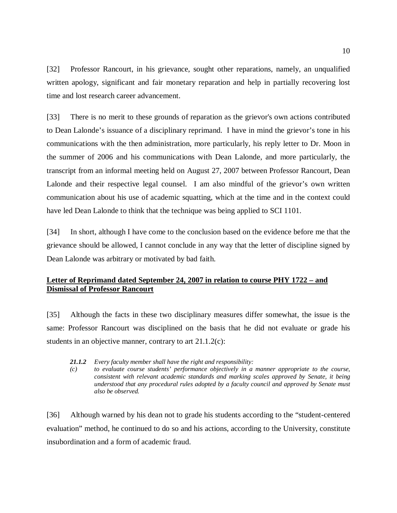[32] Professor Rancourt, in his grievance, sought other reparations, namely, an unqualified written apology, significant and fair monetary reparation and help in partially recovering lost time and lost research career advancement.

[33] There is no merit to these grounds of reparation as the grievor's own actions contributed to Dean Lalonde's issuance of a disciplinary reprimand. I have in mind the grievor's tone in his communications with the then administration, more particularly, his reply letter to Dr. Moon in the summer of 2006 and his communications with Dean Lalonde, and more particularly, the transcript from an informal meeting held on August 27, 2007 between Professor Rancourt, Dean Lalonde and their respective legal counsel. I am also mindful of the grievor's own written communication about his use of academic squatting, which at the time and in the context could have led Dean Lalonde to think that the technique was being applied to SCI 1101.

[34] In short, although I have come to the conclusion based on the evidence before me that the grievance should be allowed, I cannot conclude in any way that the letter of discipline signed by Dean Lalonde was arbitrary or motivated by bad faith.

# **Letter of Reprimand dated September 24, 2007 in relation to course PHY 1722 – and Dismissal of Professor Rancourt**

[35] Although the facts in these two disciplinary measures differ somewhat, the issue is the same: Professor Rancourt was disciplined on the basis that he did not evaluate or grade his students in an objective manner, contrary to art 21.1.2(c):

- *21.1.2 Every faculty member shall have the right and responsibility:*
- *(c) to evaluate course students' performance objectively in a manner appropriate to the course, consistent with relevant academic standards and marking scales approved by Senate, it being understood that any procedural rules adopted by a faculty council and approved by Senate must also be observed.*

[36] Although warned by his dean not to grade his students according to the "student-centered evaluation" method, he continued to do so and his actions, according to the University, constitute insubordination and a form of academic fraud.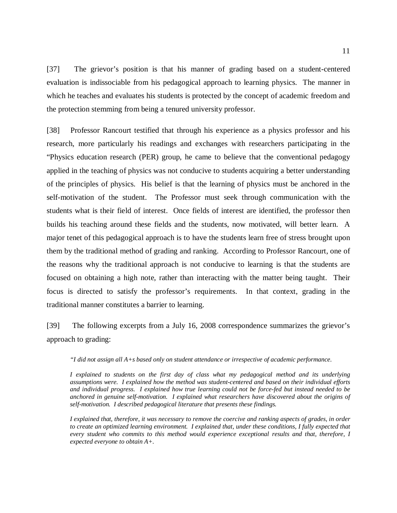[37] The grievor's position is that his manner of grading based on a student-centered evaluation is indissociable from his pedagogical approach to learning physics. The manner in which he teaches and evaluates his students is protected by the concept of academic freedom and the protection stemming from being a tenured university professor.

[38] Professor Rancourt testified that through his experience as a physics professor and his research, more particularly his readings and exchanges with researchers participating in the "Physics education research (PER) group, he came to believe that the conventional pedagogy applied in the teaching of physics was not conducive to students acquiring a better understanding of the principles of physics. His belief is that the learning of physics must be anchored in the self-motivation of the student. The Professor must seek through communication with the students what is their field of interest. Once fields of interest are identified, the professor then builds his teaching around these fields and the students, now motivated, will better learn. A major tenet of this pedagogical approach is to have the students learn free of stress brought upon them by the traditional method of grading and ranking. According to Professor Rancourt, one of the reasons why the traditional approach is not conducive to learning is that the students are focused on obtaining a high note, rather than interacting with the matter being taught. Their focus is directed to satisfy the professor's requirements. In that context, grading in the traditional manner constitutes a barrier to learning.

[39] The following excerpts from a July 16, 2008 correspondence summarizes the grievor's approach to grading:

*"I did not assign all A+s based only on student attendance or irrespective of academic performance.* 

*I explained to students on the first day of class what my pedagogical method and its underlying assumptions were. I explained how the method was student-centered and based on their individual efforts and individual progress. I explained how true learning could not be force-fed but instead needed to be anchored in genuine self-motivation. I explained what researchers have discovered about the origins of self-motivation. I described pedagogical literature that presents these findings.* 

*I explained that, therefore, it was necessary to remove the coercive and ranking aspects of grades, in order to create an optimized learning environment. I explained that, under these conditions, I fully expected that every student who commits to this method would experience exceptional results and that, therefore, I expected everyone to obtain A+.*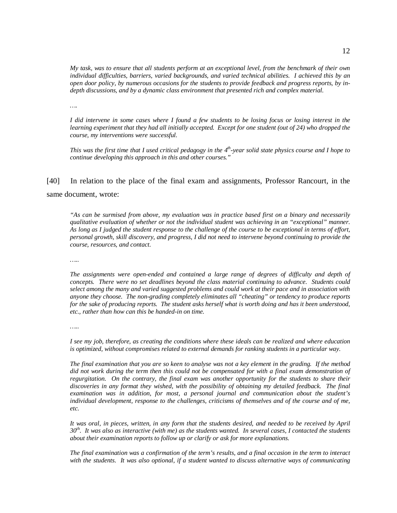*My task, was to ensure that all students perform at an exceptional level, from the benchmark of their own individual difficulties, barriers, varied backgrounds, and varied technical abilities. I achieved this by an open door policy, by numerous occasions for the students to provide feedback and progress reports, by indepth discussions, and by a dynamic class environment that presented rich and complex material.* 

*….* 

*I did intervene in some cases where I found a few students to be losing focus or losing interest in the learning experiment that they had all initially accepted. Except for one student (out of 24) who dropped the course, my interventions were successful.* 

*This was the first time that I used critical pedagogy in the 4<sup>th</sup>-year solid state physics course and I hope to continue developing this approach in this and other courses."* 

[40] In relation to the place of the final exam and assignments, Professor Rancourt, in the same document, wrote:

*"As can be surmised from above, my evaluation was in practice based first on a binary and necessarily qualitative evaluation of whether or not the individual student was achieving in an "exceptional" manner. As long as I judged the student response to the challenge of the course to be exceptional in terms of effort, personal growth, skill discovery, and progress, I did not need to intervene beyond continuing to provide the course, resources, and contact.* 

*…..* 

*The assignments were open-ended and contained a large range of degrees of difficulty and depth of concepts. There were no set deadlines beyond the class material continuing to advance. Students could select among the many and varied suggested problems and could work at their pace and in association with anyone they choose. The non-grading completely eliminates all "cheating" or tendency to produce reports for the sake of producing reports. The student asks herself what is worth doing and has it been understood, etc., rather than how can this be handed-in on time.* 

*…..* 

*I see my job, therefore, as creating the conditions where these ideals can be realized and where education is optimized, without compromises related to external demands for ranking students in a particular way.* 

*The final examination that you are so keen to analyse was not a key element in the grading. If the method did not work during the term then this could not be compensated for with a final exam demonstration of regurgitation. On the contrary, the final exam was another opportunity for the students to share their discoveries in any format they wished, with the possibility of obtaining my detailed feedback. The final examination was in addition, for most, a personal journal and communication about the student's individual development, response to the challenges, criticisms of themselves and of the course and of me, etc.* 

*It was oral, in pieces, written, in any form that the students desired, and needed to be received by April 30th. It was also as interactive (with me) as the students wanted. In several cases, I contacted the students about their examination reports to follow up or clarify or ask for more explanations.* 

*The final examination was a confirmation of the term's results, and a final occasion in the term to interact with the students. It was also optional, if a student wanted to discuss alternative ways of communicating*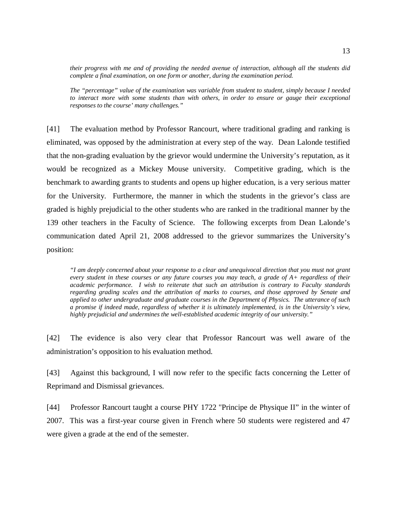*their progress with me and of providing the needed avenue of interaction, although all the students did complete a final examination, on one form or another, during the examination period.* 

*The "percentage" value of the examination was variable from student to student, simply because I needed to interact more with some students than with others, in order to ensure or gauge their exceptional responses to the course' many challenges."* 

[41] The evaluation method by Professor Rancourt, where traditional grading and ranking is eliminated, was opposed by the administration at every step of the way. Dean Lalonde testified that the non-grading evaluation by the grievor would undermine the University's reputation, as it would be recognized as a Mickey Mouse university. Competitive grading, which is the benchmark to awarding grants to students and opens up higher education, is a very serious matter for the University. Furthermore, the manner in which the students in the grievor's class are graded is highly prejudicial to the other students who are ranked in the traditional manner by the 139 other teachers in the Faculty of Science. The following excerpts from Dean Lalonde's communication dated April 21, 2008 addressed to the grievor summarizes the University's position:

*"I am deeply concerned about your response to a clear and unequivocal direction that you must not grant every student in these courses or any future courses you may teach, a grade of A+ regardless of their academic performance. I wish to reiterate that such an attribution is contrary to Faculty standards regarding grading scales and the attribution of marks to courses, and those approved by Senate and applied to other undergraduate and graduate courses in the Department of Physics. The utterance of such a promise if indeed made, regardless of whether it is ultimately implemented, is in the University's view, highly prejudicial and undermines the well-established academic integrity of our university."* 

[42] The evidence is also very clear that Professor Rancourt was well aware of the administration's opposition to his evaluation method.

[43] Against this background, I will now refer to the specific facts concerning the Letter of Reprimand and Dismissal grievances.

[44] Professor Rancourt taught a course PHY 1722 "Principe de Physique II" in the winter of 2007. This was a first-year course given in French where 50 students were registered and 47 were given a grade at the end of the semester.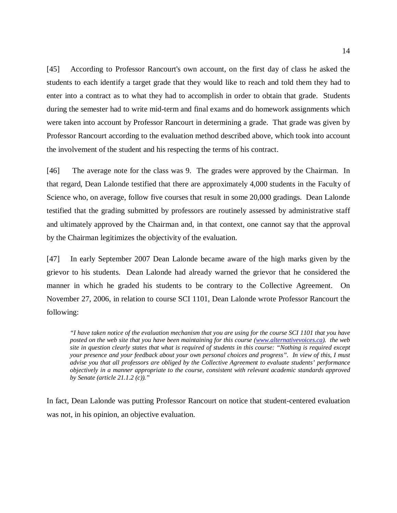[45] According to Professor Rancourt's own account, on the first day of class he asked the students to each identify a target grade that they would like to reach and told them they had to enter into a contract as to what they had to accomplish in order to obtain that grade. Students during the semester had to write mid-term and final exams and do homework assignments which were taken into account by Professor Rancourt in determining a grade. That grade was given by Professor Rancourt according to the evaluation method described above, which took into account the involvement of the student and his respecting the terms of his contract.

[46] The average note for the class was 9. The grades were approved by the Chairman. In that regard, Dean Lalonde testified that there are approximately 4,000 students in the Faculty of Science who, on average, follow five courses that result in some 20,000 gradings. Dean Lalonde testified that the grading submitted by professors are routinely assessed by administrative staff and ultimately approved by the Chairman and, in that context, one cannot say that the approval by the Chairman legitimizes the objectivity of the evaluation.

[47] In early September 2007 Dean Lalonde became aware of the high marks given by the grievor to his students. Dean Lalonde had already warned the grievor that he considered the manner in which he graded his students to be contrary to the Collective Agreement. On November 27, 2006, in relation to course SCI 1101, Dean Lalonde wrote Professor Rancourt the following:

*"I have taken notice of the evaluation mechanism that you are using for the course SCI 1101 that you have posted on the web site that you have been maintaining for this course (www.alternativevoices.ca). the web site in question clearly states that what is required of students in this course: "Nothing is required except your presence and your feedback about your own personal choices and progress". In view of this, I must advise you that all professors are obliged by the Collective Agreement to evaluate students' performance objectively in a manner appropriate to the course, consistent with relevant academic standards approved by Senate (article 21.1.2 (c))."* 

In fact, Dean Lalonde was putting Professor Rancourt on notice that student-centered evaluation was not, in his opinion, an objective evaluation.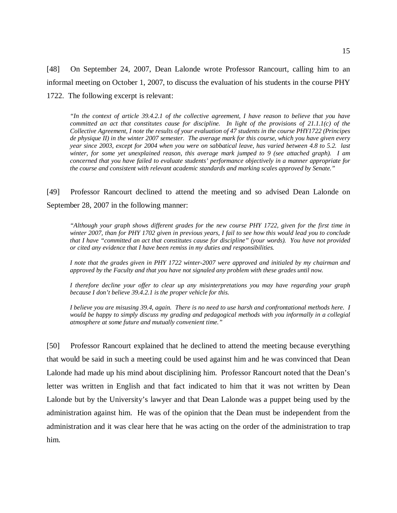[48] On September 24, 2007, Dean Lalonde wrote Professor Rancourt, calling him to an informal meeting on October 1, 2007, to discuss the evaluation of his students in the course PHY 1722. The following excerpt is relevant:

*"In the context of article 39.4.2.1 of the collective agreement, I have reason to believe that you have committed an act that constitutes cause for discipline. In light of the provisions of 21.1.1(c) of the Collective Agreement, I note the results of your evaluation of 47 students in the course PHY1722 (Principes de physique II) in the winter 2007 semester. The average mark for this course, which you have given every year since 2003, except for 2004 when you were on sabbatical leave, has varied between 4.8 to 5.2. last winter, for some yet unexplained reason, this average mark jumped to 9 (see attached graph). I am concerned that you have failed to evaluate students' performance objectively in a manner appropriate for the course and consistent with relevant academic standards and marking scales approved by Senate."* 

[49] Professor Rancourt declined to attend the meeting and so advised Dean Lalonde on September 28, 2007 in the following manner:

*"Although your graph shows different grades for the new course PHY 1722, given for the first time in winter 2007, than for PHY 1702 given in previous years, I fail to see how this would lead you to conclude that I have "committed an act that constitutes cause for discipline" (your words). You have not provided or cited any evidence that I have been remiss in my duties and responsibilities.* 

*I note that the grades given in PHY 1722 winter-2007 were approved and initialed by my chairman and approved by the Faculty and that you have not signaled any problem with these grades until now.* 

*I therefore decline your offer to clear up any misinterpretations you may have regarding your graph because I don't believe 39.4.2.1 is the proper vehicle for this.* 

*I believe you are misusing 39.4, again. There is no need to use harsh and confrontational methods here. I would be happy to simply discuss my grading and pedagogical methods with you informally in a collegial atmosphere at some future and mutually convenient time."* 

[50] Professor Rancourt explained that he declined to attend the meeting because everything that would be said in such a meeting could be used against him and he was convinced that Dean Lalonde had made up his mind about disciplining him. Professor Rancourt noted that the Dean's letter was written in English and that fact indicated to him that it was not written by Dean Lalonde but by the University's lawyer and that Dean Lalonde was a puppet being used by the administration against him. He was of the opinion that the Dean must be independent from the administration and it was clear here that he was acting on the order of the administration to trap him.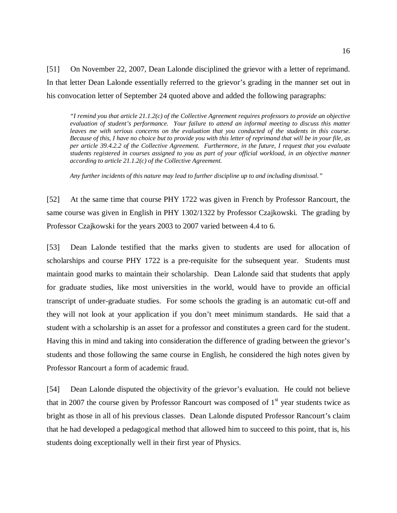[51] On November 22, 2007, Dean Lalonde disciplined the grievor with a letter of reprimand. In that letter Dean Lalonde essentially referred to the grievor's grading in the manner set out in his convocation letter of September 24 quoted above and added the following paragraphs:

*"I remind you that article 21.1.2(c) of the Collective Agreement requires professors to provide an objective evaluation of student's performance. Your failure to attend an informal meeting to discuss this matter leaves me with serious concerns on the evaluation that you conducted of the students in this course. Because of this, I have no choice but to provide you with this letter of reprimand that will be in your file, as per article 39.4.2.2 of the Collective Agreement. Furthermore, in the future, I request that you evaluate students registered in courses assigned to you as part of your official workload, in an objective manner according to article 21.1.2(c) of the Collective Agreement.* 

*Any further incidents of this nature may lead to further discipline up to and including dismissal."* 

[52] At the same time that course PHY 1722 was given in French by Professor Rancourt, the same course was given in English in PHY 1302/1322 by Professor Czajkowski. The grading by Professor Czajkowski for the years 2003 to 2007 varied between 4.4 to 6.

[53] Dean Lalonde testified that the marks given to students are used for allocation of scholarships and course PHY 1722 is a pre-requisite for the subsequent year. Students must maintain good marks to maintain their scholarship. Dean Lalonde said that students that apply for graduate studies, like most universities in the world, would have to provide an official transcript of under-graduate studies. For some schools the grading is an automatic cut-off and they will not look at your application if you don't meet minimum standards. He said that a student with a scholarship is an asset for a professor and constitutes a green card for the student. Having this in mind and taking into consideration the difference of grading between the grievor's students and those following the same course in English, he considered the high notes given by Professor Rancourt a form of academic fraud.

[54] Dean Lalonde disputed the objectivity of the grievor's evaluation. He could not believe that in 2007 the course given by Professor Rancourt was composed of  $1<sup>st</sup>$  year students twice as bright as those in all of his previous classes. Dean Lalonde disputed Professor Rancourt's claim that he had developed a pedagogical method that allowed him to succeed to this point, that is, his students doing exceptionally well in their first year of Physics.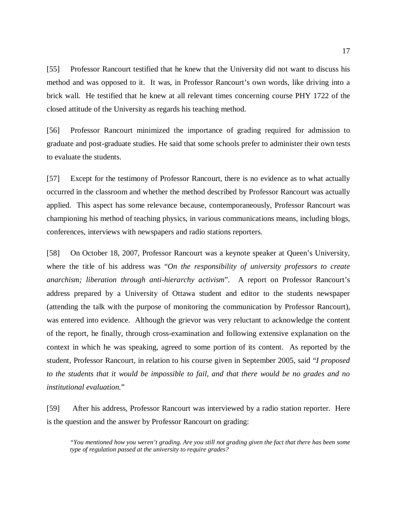[55] Professor Rancourt testified that he knew that the University did not want to discuss his method and was opposed to it. It was, in Professor Rancourt's own words, like driving into a brick wall. He testified that he knew at all relevant times concerning course PHY 1722 of the closed attitude of the University as regards his teaching method.

[56] Professor Rancourt minimized the importance of grading required for admission to graduate and post-graduate studies. He said that some schools prefer to administer their own tests to evaluate the students.

[57] Except for the testimony of Professor Rancourt, there is no evidence as to what actually occurred in the classroom and whether the method described by Professor Rancourt was actually applied. This aspect has some relevance because, contemporaneously, Professor Rancourt was championing his method of teaching physics, in various communications means, including blogs, conferences, interviews with newspapers and radio stations reporters.

[58] On October 18, 2007, Professor Rancourt was a keynote speaker at Queen's University, where the title of his address was "*On the responsibility of university professors to create anarchism; liberation through anti-hierarchy activism*". A report on Professor Rancourt's address prepared by a University of Ottawa student and editor to the students newspaper (attending the talk with the purpose of monitoring the communication by Professor Rancourt), was entered into evidence. Although the grievor was very reluctant to acknowledge the content of the report, he finally, through cross-examination and following extensive explanation on the context in which he was speaking, agreed to some portion of its content. As reported by the student, Professor Rancourt, in relation to his course given in September 2005, said "*I proposed to the students that it would be impossible to fail, and that there would be no grades and no institutional evaluation.*"

[59] After his address, Professor Rancourt was interviewed by a radio station reporter. Here is the question and the answer by Professor Rancourt on grading:

*"You mentioned how you weren't grading. Are you still not grading given the fact that there has been some type of regulation passed at the university to require grades?*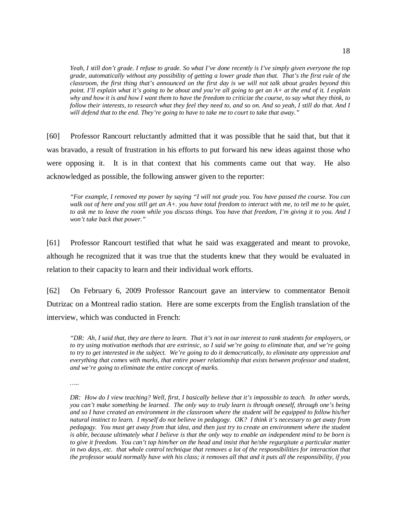*Yeah, I still don't grade. I refuse to grade. So what I've done recently is I've simply given everyone the top grade, automatically without any possibility of getting a lower grade than that. That's the first rule of the classroom, the first thing that's announced on the first day is we will not talk about grades beyond this point. I'll explain what it's going to be about and you're all going to get an A+ at the end of it. I explain why and how it is and how I want them to have the freedom to criticize the course, to say what they think, to follow their interests, to research what they feel they need to, and so on. And so yeah, I still do that. And I will defend that to the end. They're going to have to take me to court to take that away."* 

[60] Professor Rancourt reluctantly admitted that it was possible that he said that, but that it was bravado, a result of frustration in his efforts to put forward his new ideas against those who were opposing it. It is in that context that his comments came out that way. He also acknowledged as possible, the following answer given to the reporter:

*"For example, I removed my power by saying "I will not grade you. You have passed the course. You can walk out of here and you still get an A+. you have total freedom to interact with me, to tell me to be quiet, to ask me to leave the room while you discuss things. You have that freedom, I'm giving it to you. And I won't take back that power."* 

[61] Professor Rancourt testified that what he said was exaggerated and meant to provoke, although he recognized that it was true that the students knew that they would be evaluated in relation to their capacity to learn and their individual work efforts.

[62] On February 6, 2009 Professor Rancourt gave an interview to commentator Benoit Dutrizac on a Montreal radio station. Here are some excerpts from the English translation of the interview, which was conducted in French:

*"DR: Ah, I said that, they are there to learn. That it's not in our interest to rank students for employers, or to try using motivation methods that are extrinsic, so I said we're going to eliminate that, and we're going to try to get interested in the subject. We're going to do it democratically, to eliminate any oppression and everything that comes with marks, that entire power relationship that exists between professor and student, and we're going to eliminate the entire concept of marks.* 

*…..* 

*DR: How do I view teaching? Well, first, I basically believe that it's impossible to teach. In other words, you can't make something be learned. The only way to truly learn is through oneself, through one's being and so I have created an environment in the classroom where the student will be equipped to follow his/her natural instinct to learn. I myself do not believe in pedagogy. OK? I think it's necessary to get away from pedagogy. You must get away from that idea, and then just try to create an environment where the student is able, because ultimately what I believe is that the only way to enable an independent mind to be born is to give it freedom. You can't tap him/her on the head and insist that he/she regurgitate a particular matter*  in two days, etc. that whole control technique that removes a lot of the responsibilities for interaction that *the professor would normally have with his class; it removes all that and it puts all the responsibility, if you*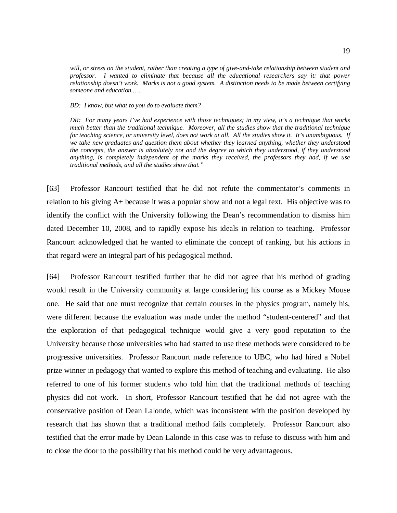*will, or stress on the student, rather than creating a type of give-and-take relationship between student and professor. I wanted to eliminate that because all the educational researchers say it: that power relationship doesn't work. Marks is not a good system. A distinction needs to be made between certifying someone and education.…..* 

*BD: I know, but what to you do to evaluate them?* 

*DR: For many years I've had experience with those techniques; in my view, it's a technique that works much better than the traditional technique. Moreover, all the studies show that the traditional technique for teaching science, or university level, does not work at all. All the studies show it. It's unambiguous. If we take new graduates and question them about whether they learned anything, whether they understood the concepts, the answer is absolutely not and the degree to which they understood, if they understood anything, is completely independent of the marks they received, the professors they had, if we use traditional methods, and all the studies show that."* 

[63] Professor Rancourt testified that he did not refute the commentator's comments in relation to his giving A+ because it was a popular show and not a legal text. His objective was to identify the conflict with the University following the Dean's recommendation to dismiss him dated December 10, 2008, and to rapidly expose his ideals in relation to teaching. Professor Rancourt acknowledged that he wanted to eliminate the concept of ranking, but his actions in that regard were an integral part of his pedagogical method.

[64] Professor Rancourt testified further that he did not agree that his method of grading would result in the University community at large considering his course as a Mickey Mouse one. He said that one must recognize that certain courses in the physics program, namely his, were different because the evaluation was made under the method "student-centered" and that the exploration of that pedagogical technique would give a very good reputation to the University because those universities who had started to use these methods were considered to be progressive universities. Professor Rancourt made reference to UBC, who had hired a Nobel prize winner in pedagogy that wanted to explore this method of teaching and evaluating. He also referred to one of his former students who told him that the traditional methods of teaching physics did not work. In short, Professor Rancourt testified that he did not agree with the conservative position of Dean Lalonde, which was inconsistent with the position developed by research that has shown that a traditional method fails completely. Professor Rancourt also testified that the error made by Dean Lalonde in this case was to refuse to discuss with him and to close the door to the possibility that his method could be very advantageous.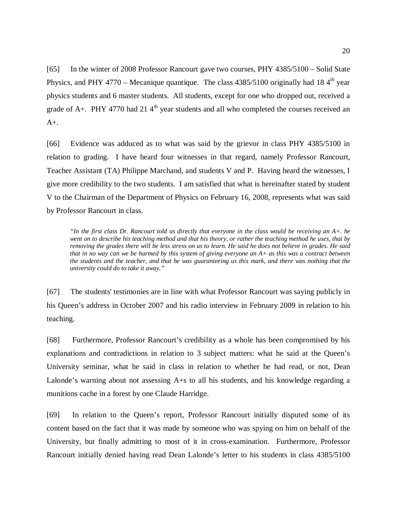[65] In the winter of 2008 Professor Rancourt gave two courses, PHY 4385/5100 – Solid State Physics, and PHY 4770 – Mecanique quantique. The class  $4385/5100$  originally had 18 4<sup>th</sup> year physics students and 6 master students. All students, except for one who dropped out, received a grade of A+. PHY 4770 had 21  $4<sup>th</sup>$  year students and all who completed the courses received an  $A_{+}$ .

[66] Evidence was adduced as to what was said by the grievor in class PHY 4385/5100 in relation to grading. I have heard four witnesses in that regard, namely Professor Rancourt, Teacher Assistant (TA) Philippe Marchand, and students V and P. Having heard the witnesses, I give more credibility to the two students. I am satisfied that what is hereinafter stated by student V to the Chairman of the Department of Physics on February 16, 2008, represents what was said by Professor Rancourt in class.

*"In the first class Dr. Rancourt told us directly that everyone in the class would be receiving an A+. he went on to describe his teaching method and that his theory, or rather the teaching method he uses, that by removing the grades there will be less stress on us to learn. He said he does not believe in grades. He said that in no way can we be harmed by this system of giving everyone an A+ as this was a contract between the students and the teacher, and that he was guaranteeing us this mark, and there was nothing that the university could do to take it away."* 

[67] The students' testimonies are in line with what Professor Rancourt was saying publicly in his Queen's address in October 2007 and his radio interview in February 2009 in relation to his teaching.

[68] Furthermore, Professor Rancourt's credibility as a whole has been compromised by his explanations and contradictions in relation to 3 subject matters: what he said at the Queen's University seminar, what he said in class in relation to whether he had read, or not, Dean Lalonde's warning about not assessing A+s to all his students, and his knowledge regarding a munitions cache in a forest by one Claude Harridge.

[69] In relation to the Queen's report, Professor Rancourt initially disputed some of its content based on the fact that it was made by someone who was spying on him on behalf of the University, but finally admitting to most of it in cross-examination. Furthermore, Professor Rancourt initially denied having read Dean Lalonde's letter to his students in class 4385/5100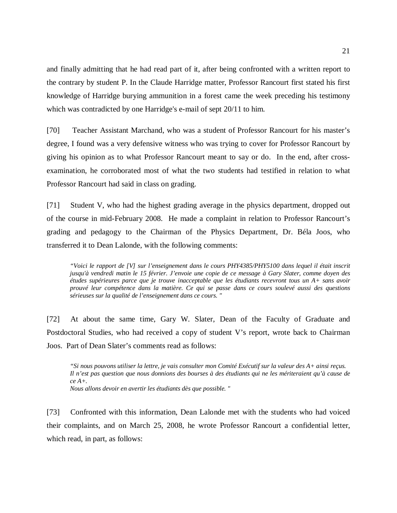and finally admitting that he had read part of it, after being confronted with a written report to the contrary by student P. In the Claude Harridge matter, Professor Rancourt first stated his first knowledge of Harridge burying ammunition in a forest came the week preceding his testimony which was contradicted by one Harridge's e-mail of sept 20/11 to him.

[70] Teacher Assistant Marchand, who was a student of Professor Rancourt for his master's degree, I found was a very defensive witness who was trying to cover for Professor Rancourt by giving his opinion as to what Professor Rancourt meant to say or do. In the end, after crossexamination, he corroborated most of what the two students had testified in relation to what Professor Rancourt had said in class on grading.

[71] Student V, who had the highest grading average in the physics department, dropped out of the course in mid-February 2008. He made a complaint in relation to Professor Rancourt's grading and pedagogy to the Chairman of the Physics Department, Dr. Béla Joos, who transferred it to Dean Lalonde, with the following comments:

*"Voici le rapport de [V] sur l'enseignement dans le cours PHY4385/PHY5100 dans lequel il était inscrit jusqu'à vendredi matin le 15 février. J'envoie une copie de ce message à Gary Slater, comme doyen des études supérieures parce que je trouve inacceptable que les étudiants recevront tous un A+ sans avoir prouvé leur compétence dans la matière. Ce qui se passe dans ce cours soulevé aussi des questions sérieuses sur la qualité de l'enseignement dans ce cours. "* 

[72] At about the same time, Gary W. Slater, Dean of the Faculty of Graduate and Postdoctoral Studies, who had received a copy of student V's report, wrote back to Chairman Joos. Part of Dean Slater's comments read as follows:

*"Si nous pouvons utiliser la lettre, je vais consulter mon Comité Exécutif sur la valeur des A+ ainsi reçus. Il n'est pas question que nous donnions des bourses à des étudiants qui ne les mériteraient qu'à cause de ce A+.* 

*Nous allons devoir en avertir les étudiants dès que possible. "* 

[73] Confronted with this information, Dean Lalonde met with the students who had voiced their complaints, and on March 25, 2008, he wrote Professor Rancourt a confidential letter, which read, in part, as follows: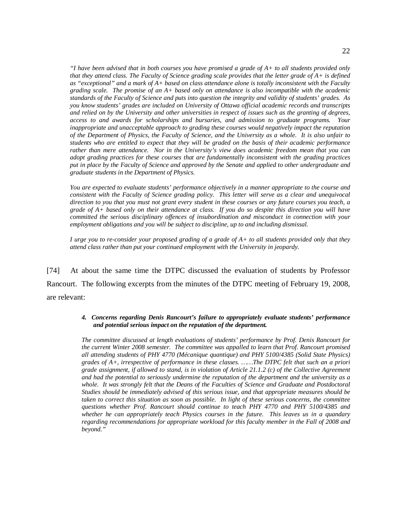*"I have been advised that in both courses you have promised a grade of A+ to all students provided only that they attend class. The Faculty of Science grading scale provides that the letter grade of A+ is defined as "exceptional" and a mark of A+ based on class attendance alone is totally inconsistent with the Faculty grading scale. The promise of an A+ based only on attendance is also incompatible with the academic standards of the Faculty of Science and puts into question the integrity and validity of students' grades. As you know students' grades are included on University of Ottawa official academic records and transcripts and relied on by the University and other universities in respect of issues such as the granting of degrees, access to and awards for scholarships and bursaries, and admission to graduate programs. Your inappropriate and unacceptable approach to grading these courses would negatively impact the reputation of the Department of Physics, the Faculty of Science, and the University as a whole. It is also unfair to students who are entitled to expect that they will be graded on the basis of their academic performance rather than mere attendance. Nor in the University's view does academic freedom mean that you can adopt grading practices for these courses that are fundamentally inconsistent with the grading practices put in place by the Faculty of Science and approved by the Senate and applied to other undergraduate and graduate students in the Department of Physics.* 

*You are expected to evaluate students' performance objectively in a manner appropriate to the course and consistent with the Faculty of Science grading policy. This letter will serve as a clear and unequivocal direction to you that you must not grant every student in these courses or any future courses you teach, a grade of A+ based only on their attendance at class. If you do so despite this direction you will have committed the serious disciplinary offences of insubordination and misconduct in connection with your employment obligations and you will be subject to discipline, up to and including dismissal.* 

*I urge you to re-consider your proposed grading of a grade of A+ to all students provided only that they attend class rather than put your continued employment with the University in jeopardy.* 

[74] At about the same time the DTPC discussed the evaluation of students by Professor Rancourt. The following excerpts from the minutes of the DTPC meeting of February 19, 2008, are relevant:

#### *4. Concerns regarding Denis Rancourt's failure to appropriately evaluate students' performance and potential serious impact on the reputation of the department.*

*The committee discussed at length evaluations of students' performance by Prof. Denis Rancourt for the current Winter 2008 semester. The committee was appalled to learn that Prof. Rancourt promised all attending students of PHY 4770 (Mécanique quantique) and PHY 5100/4385 (Solid State Physics) grades of A+, irrespective of performance in these classes. ……The DTPC felt that such an a priori grade assignment, if allowed to stand, is in violation of Article 21.1.2 (c) of the Collective Agreement and had the potential to seriously undermine the reputation of the department and the university as a whole. It was strongly felt that the Deans of the Faculties of Science and Graduate and Postdoctoral Studies should be immediately advised of this serious issue, and that appropriate measures should be taken to correct this situation as soon as possible. In light of these serious concerns, the committee questions whether Prof. Rancourt should continue to teach PHY 4770 and PHY 5100/4385 and whether he can appropriately teach Physics courses in the future. This leaves us in a quandary regarding recommendations for appropriate workload for this faculty member in the Fall of 2008 and beyond."*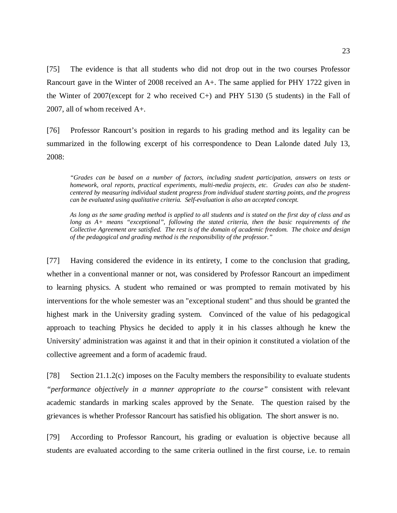[75] The evidence is that all students who did not drop out in the two courses Professor Rancourt gave in the Winter of 2008 received an A+. The same applied for PHY 1722 given in the Winter of 2007(except for 2 who received  $C<sub>+</sub>$ ) and PHY 5130 (5 students) in the Fall of 2007, all of whom received A+.

[76] Professor Rancourt's position in regards to his grading method and its legality can be summarized in the following excerpt of his correspondence to Dean Lalonde dated July 13, 2008:

*"Grades can be based on a number of factors, including student participation, answers on tests or homework, oral reports, practical experiments, multi-media projects, etc. Grades can also be studentcentered by measuring individual student progress from individual student starting points, and the progress can be evaluated using qualitative criteria. Self-evaluation is also an accepted concept.* 

*As long as the same grading method is applied to all students and is stated on the first day of class and as long as A+ means "exceptional", following the stated criteria, then the basic requirements of the Collective Agreement are satisfied. The rest is of the domain of academic freedom. The choice and design of the pedagogical and grading method is the responsibility of the professor."* 

[77] Having considered the evidence in its entirety, I come to the conclusion that grading, whether in a conventional manner or not, was considered by Professor Rancourt an impediment to learning physics. A student who remained or was prompted to remain motivated by his interventions for the whole semester was an "exceptional student" and thus should be granted the highest mark in the University grading system. Convinced of the value of his pedagogical approach to teaching Physics he decided to apply it in his classes although he knew the University' administration was against it and that in their opinion it constituted a violation of the collective agreement and a form of academic fraud.

[78] Section 21.1.2(c) imposes on the Faculty members the responsibility to evaluate students *"performance objectively in a manner appropriate to the course"* consistent with relevant academic standards in marking scales approved by the Senate. The question raised by the grievances is whether Professor Rancourt has satisfied his obligation. The short answer is no.

[79] According to Professor Rancourt, his grading or evaluation is objective because all students are evaluated according to the same criteria outlined in the first course, i.e. to remain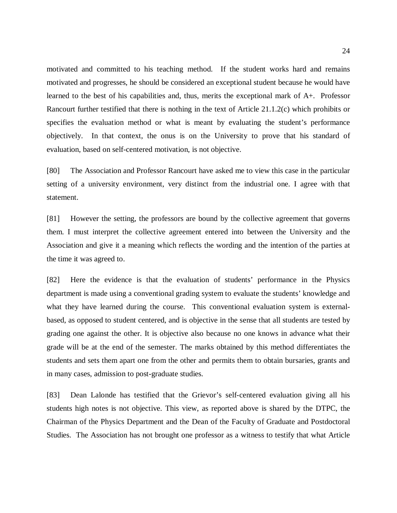motivated and committed to his teaching method. If the student works hard and remains motivated and progresses, he should be considered an exceptional student because he would have learned to the best of his capabilities and, thus, merits the exceptional mark of A+. Professor Rancourt further testified that there is nothing in the text of Article 21.1.2(c) which prohibits or specifies the evaluation method or what is meant by evaluating the student's performance objectively. In that context, the onus is on the University to prove that his standard of evaluation, based on self-centered motivation, is not objective.

[80] The Association and Professor Rancourt have asked me to view this case in the particular setting of a university environment, very distinct from the industrial one. I agree with that statement.

[81] However the setting, the professors are bound by the collective agreement that governs them. I must interpret the collective agreement entered into between the University and the Association and give it a meaning which reflects the wording and the intention of the parties at the time it was agreed to.

[82] Here the evidence is that the evaluation of students' performance in the Physics department is made using a conventional grading system to evaluate the students' knowledge and what they have learned during the course. This conventional evaluation system is externalbased, as opposed to student centered, and is objective in the sense that all students are tested by grading one against the other. It is objective also because no one knows in advance what their grade will be at the end of the semester. The marks obtained by this method differentiates the students and sets them apart one from the other and permits them to obtain bursaries, grants and in many cases, admission to post-graduate studies.

[83] Dean Lalonde has testified that the Grievor's self-centered evaluation giving all his students high notes is not objective. This view, as reported above is shared by the DTPC, the Chairman of the Physics Department and the Dean of the Faculty of Graduate and Postdoctoral Studies. The Association has not brought one professor as a witness to testify that what Article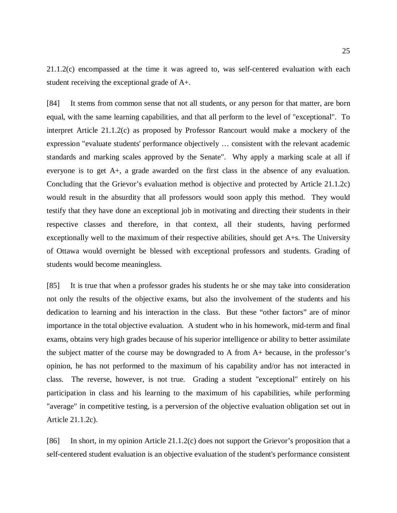21.1.2(c) encompassed at the time it was agreed to, was self-centered evaluation with each student receiving the exceptional grade of A+.

[84] It stems from common sense that not all students, or any person for that matter, are born equal, with the same learning capabilities, and that all perform to the level of "exceptional". To interpret Article 21.1.2(c) as proposed by Professor Rancourt would make a mockery of the expression "evaluate students' performance objectively … consistent with the relevant academic standards and marking scales approved by the Senate". Why apply a marking scale at all if everyone is to get A+, a grade awarded on the first class in the absence of any evaluation. Concluding that the Grievor's evaluation method is objective and protected by Article 21.1.2c) would result in the absurdity that all professors would soon apply this method. They would testify that they have done an exceptional job in motivating and directing their students in their respective classes and therefore, in that context, all their students, having performed exceptionally well to the maximum of their respective abilities, should get A+s. The University of Ottawa would overnight be blessed with exceptional professors and students. Grading of students would become meaningless.

[85] It is true that when a professor grades his students he or she may take into consideration not only the results of the objective exams, but also the involvement of the students and his dedication to learning and his interaction in the class. But these "other factors" are of minor importance in the total objective evaluation. A student who in his homework, mid-term and final exams, obtains very high grades because of his superior intelligence or ability to better assimilate the subject matter of the course may be downgraded to A from A+ because, in the professor's opinion, he has not performed to the maximum of his capability and/or has not interacted in class. The reverse, however, is not true. Grading a student "exceptional" entirely on his participation in class and his learning to the maximum of his capabilities, while performing "average" in competitive testing, is a perversion of the objective evaluation obligation set out in Article 21.1.2c).

[86] In short, in my opinion Article 21.1.2(c) does not support the Grievor's proposition that a self-centered student evaluation is an objective evaluation of the student's performance consistent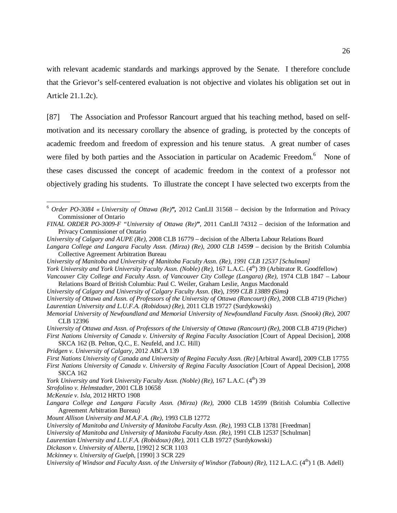with relevant academic standards and markings approved by the Senate. I therefore conclude that the Grievor's self-centered evaluation is not objective and violates his obligation set out in Article 21.1.2c).

[87] The Association and Professor Rancourt argued that his teaching method, based on selfmotivation and its necessary corollary the absence of grading, is protected by the concepts of academic freedom and freedom of expression and his tenure status. A great number of cases were filed by both parties and the Association in particular on Academic Freedom.<sup>6</sup> None of these cases discussed the concept of academic freedom in the context of a professor not objectively grading his students. To illustrate the concept I have selected two excerpts from the

*York University and York University Faculty Assn. (Noble) (Re),* 167 L.A.C. (4<sup>th</sup>) 39 (Arbitrator R. Goodfellow)

*University of Calgary and University of Calgary Faculty Assn*. (Re), *1999 CLB 13889 (Sims)* 

*University of Ottawa and Assn. of Professors of the University of Ottawa (Rancourt) (Re),* 2008 CLB 4719 (Picher) *Laurentian University and L.U.F.A. (Robidoux) (Re),* 2011 CLB 19727 (Surdykowski)

- *Memorial University of Newfoundland and Memorial University of Newfoundland Faculty Assn. (Snook) (Re),* 2007 CLB 12396
- *University of Ottawa and Assn. of Professors of the University of Ottawa (Rancourt) (Re),* 2008 CLB 4719 (Picher) *First Nations University of Canada v. University of Regina Faculty Association* [Court of Appeal Decision], 2008

SKCA 162 (B. Pelton, Q.C., E. Neufeld, and J.C. Hill)

*Pridgen v. University of Calgary,* 2012 ABCA 139

- *York University and York University Faculty Assn. (Noble) (Re), 167 L.A.C.* (4<sup>th</sup>) 39
- *Strofolino v. Helmstadter,* 2001 CLB 10658
- *McKenzie v. Isla,* 2012 HRTO 1908

 $\overline{a}$ 

*Langara College and Langara Faculty Assn. (Mirza) (Re),* 2000 CLB 14599 (British Columbia Collective Agreement Arbitration Bureau)

<sup>6</sup> *Order PO-3084 « University of Ottawa (Re)",* 2012 CanLII 31568 – decision by the Information and Privacy Commissioner of Ontario

*FINAL ORDER PO-3009-F "University of Ottawa (Re)"*, 2011 CanLII 74312 – decision of the Information and Privacy Commissioner of Ontario

*University of Calgary and AUPE (Re),* 2008 CLB 16779 – decision of the Alberta Labour Relations Board

*Langara College and Langara Faculty Assn. (Mirza) (Re), 2000 CLB 14599* – decision by the British Columbia Collective Agreement Arbitration Bureau

*University of Manitoba and University of Manitoba Faculty Assn. (Re), 1991 CLB 12537 [Schulman]* 

Vancouver City College and Faculty Assn. of Vancouver City College (Langara) (Re), 1974 CLB 1847 – Labour Relations Board of British Columbia: Paul C. Weiler, Graham Leslie, Angus Macdonald

*First Nations University of Canada and University of Regina Faculty Assn. (Re)* [Arbitral Award], 2009 CLB 17755 *First Nations University of Canada v. University of Regina Faculty Association [Court of Appeal Decision], 2008* SKCA 162

*Mount Allison University and M.A.F.A. (Re),* 1993 CLB 12772

*University of Manitoba and University of Manitoba Faculty Assn. (Re), 1993 CLB 13781 [Freedman]* 

*University of Manitoba and University of Manitoba Faculty Assn. (Re),* 1991 CLB 12537 [Schulman]

*Laurentian University and L.U.F.A. (Robidoux) (Re),* 2011 CLB 19727 (Surdykowski)

*Dickason v. University of Alberta,* [1992] 2 SCR 1103

*Mckinney v. University of Guelph,* [1990] 3 SCR 229

*University of Windsor and Faculty Assn. of the University of Windsor (Taboun) (Re), 112 L.A.C.* (4<sup>th</sup>) 1 (B. Adell)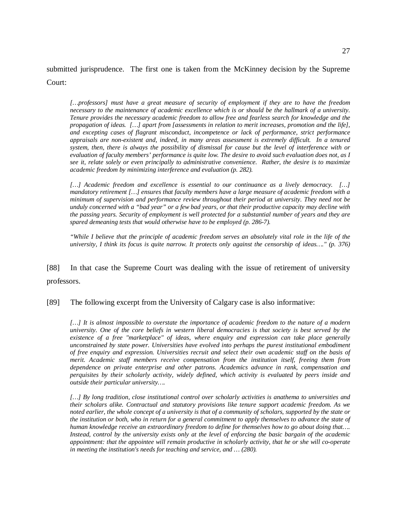submitted jurisprudence. The first one is taken from the McKinney decision by the Supreme Court:

*[…professors] must have a great measure of security of employment if they are to have the freedom necessary to the maintenance of academic excellence which is or should be the hallmark of a university. Tenure provides the necessary academic freedom to allow free and fearless search for knowledge and the propagation of ideas. […] apart from [assessments in relation to merit increases, promotion and the life], and excepting cases of flagrant misconduct, incompetence or lack of performance, strict performance appraisals are non-existent and, indeed, in many areas assessment is extremely difficult. In a tenured system, then, there is always the possibility of dismissal for cause but the level of interference with or evaluation of faculty members' performance is quite low. The desire to avoid such evaluation does not, as I see it, relate solely or even principally to administrative convenience. Rather, the desire is to maximize academic freedom by minimizing interference and evaluation (p. 282).* 

[...] Academic freedom and excellence is essential to our continuance as a lively democracy. [...] *mandatory retirement […] ensures that faculty members have a large measure of academic freedom with a minimum of supervision and performance review throughout their period at university. They need not be unduly concerned with a "bad year" or a few bad years, or that their productive capacity may decline with the passing years. Security of employment is well protected for a substantial number of years and they are spared demeaning tests that would otherwise have to be employed (p. 286-7).* 

*"While I believe that the principle of academic freedom serves an absolutely vital role in the life of the university, I think its focus is quite narrow. It protects only against the censorship of ideas…." (p. 376)* 

[88] In that case the Supreme Court was dealing with the issue of retirement of university professors.

[89] The following excerpt from the University of Calgary case is also informative:

[...] It is almost impossible to overstate the importance of academic freedom to the nature of a modern *university. One of the core beliefs in western liberal democracies is that society is best served by the existence of a free "marketplace" of ideas, where enquiry and expression can take place generally unconstrained by state power. Universities have evolved into perhaps the purest institutional embodiment of free enquiry and expression. Universities recruit and select their own academic staff on the basis of merit. Academic staff members receive compensation from the institution itself, freeing them from dependence on private enterprise and other patrons. Academics advance in rank, compensation and perquisites by their scholarly activity, widely defined, which activity is evaluated by peers inside and outside their particular university….* 

*[…] By long tradition, close institutional control over scholarly activities is anathema to universities and their scholars alike. Contractual and statutory provisions like tenure support academic freedom. As we noted earlier, the whole concept of a university is that of a community of scholars, supported by the state or the institution or both, who in return for a general commitment to apply themselves to advance the state of human knowledge receive an extraordinary freedom to define for themselves how to go about doing that…. Instead, control by the university exists only at the level of enforcing the basic bargain of the academic appointment: that the appointee will remain productive in scholarly activity, that he or she will co-operate in meeting the institution's needs for teaching and service, and … (280).*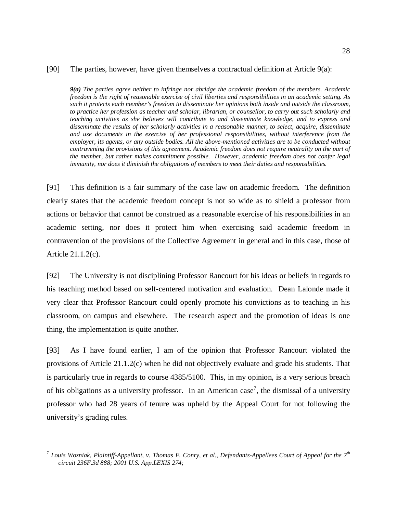## [90] The parties, however, have given themselves a contractual definition at Article 9(a):

*9(a) The parties agree neither to infringe nor abridge the academic freedom of the members. Academic freedom is the right of reasonable exercise of civil liberties and responsibilities in an academic setting. As such it protects each member's freedom to disseminate her opinions both inside and outside the classroom, to practice her profession as teacher and scholar, librarian, or counsellor, to carry out such scholarly and teaching activities as she believes will contribute to and disseminate knowledge, and to express and disseminate the results of her scholarly activities in a reasonable manner, to select, acquire, disseminate and use documents in the exercise of her professional responsibilities, without interference from the employer, its agents, or any outside bodies. All the above-mentioned activities are to be conducted without contravening the provisions of this agreement. Academic freedom does not require neutrality on the part of the member, but rather makes commitment possible. However, academic freedom does not confer legal immunity, nor does it diminish the obligations of members to meet their duties and responsibilities.* 

[91] This definition is a fair summary of the case law on academic freedom. The definition clearly states that the academic freedom concept is not so wide as to shield a professor from actions or behavior that cannot be construed as a reasonable exercise of his responsibilities in an academic setting, nor does it protect him when exercising said academic freedom in contravention of the provisions of the Collective Agreement in general and in this case, those of Article 21.1.2(c).

[92] The University is not disciplining Professor Rancourt for his ideas or beliefs in regards to his teaching method based on self-centered motivation and evaluation. Dean Lalonde made it very clear that Professor Rancourt could openly promote his convictions as to teaching in his classroom, on campus and elsewhere. The research aspect and the promotion of ideas is one thing, the implementation is quite another.

[93] As I have found earlier, I am of the opinion that Professor Rancourt violated the provisions of Article 21.1.2(c) when he did not objectively evaluate and grade his students. That is particularly true in regards to course 4385/5100. This, in my opinion, is a very serious breach of his obligations as a university professor. In an American case<sup>7</sup>, the dismissal of a university professor who had 28 years of tenure was upheld by the Appeal Court for not following the university's grading rules.

 $\overline{a}$ 

<sup>7</sup> *Louis Wozniak, Plaintiff-Appellant, v. Thomas F. Conry, et al., Defendants-Appellees Court of Appeal for the 7th circuit 236F.3d 888; 2001 U.S. App.LEXIS 274;*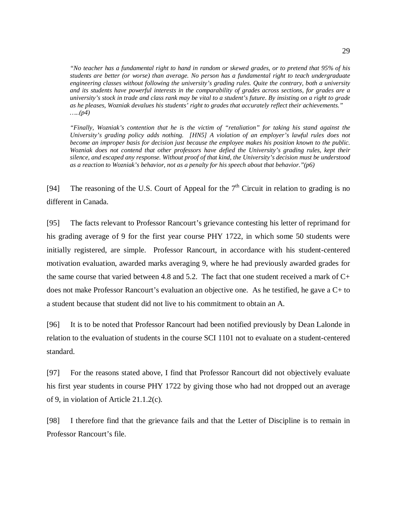*"No teacher has a fundamental right to hand in random or skewed grades, or to pretend that 95% of his students are better (or worse) than average. No person has a fundamental right to teach undergraduate engineering classes without following the university's grading rules. Quite the contrary, both a university and its students have powerful interests in the comparability of grades across sections, for grades are a university's stock in trade and class rank may be vital to a student's future. By insisting on a right to grade as he pleases, Wozniak devalues his students' right to grades that accurately reflect their achievements." …..(p4)* 

*"Finally, Wozniak's contention that he is the victim of "retaliation" for taking his stand against the University's grading policy adds nothing. [HN5] A violation of an employer's lawful rules does not become an improper basis for decision just because the employee makes his position known to the public. Wozniak does not contend that other professors have defied the University's grading rules, kept their silence, and escaped any response. Without proof of that kind, the University's decision must be understood as a reaction to Wozniak's behavior, not as a penalty for his speech about that behavior."(p6)* 

[94] The reasoning of the U.S. Court of Appeal for the  $7<sup>th</sup>$  Circuit in relation to grading is no different in Canada.

[95] The facts relevant to Professor Rancourt's grievance contesting his letter of reprimand for his grading average of 9 for the first year course PHY 1722, in which some 50 students were initially registered, are simple. Professor Rancourt, in accordance with his student-centered motivation evaluation, awarded marks averaging 9, where he had previously awarded grades for the same course that varied between 4.8 and 5.2. The fact that one student received a mark of C+ does not make Professor Rancourt's evaluation an objective one. As he testified, he gave a C+ to a student because that student did not live to his commitment to obtain an A.

[96] It is to be noted that Professor Rancourt had been notified previously by Dean Lalonde in relation to the evaluation of students in the course SCI 1101 not to evaluate on a student-centered standard.

[97] For the reasons stated above, I find that Professor Rancourt did not objectively evaluate his first year students in course PHY 1722 by giving those who had not dropped out an average of 9, in violation of Article 21.1.2(c).

[98] I therefore find that the grievance fails and that the Letter of Discipline is to remain in Professor Rancourt's file.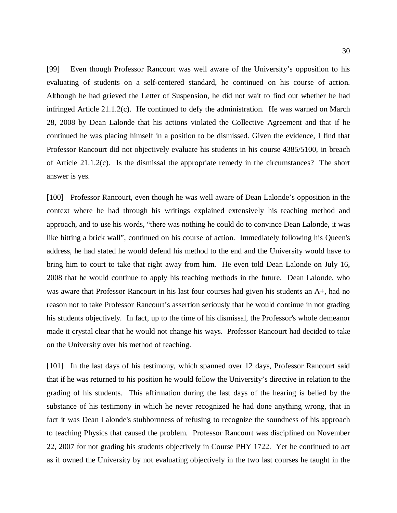[99] Even though Professor Rancourt was well aware of the University's opposition to his evaluating of students on a self-centered standard, he continued on his course of action. Although he had grieved the Letter of Suspension, he did not wait to find out whether he had infringed Article 21.1.2(c). He continued to defy the administration. He was warned on March 28, 2008 by Dean Lalonde that his actions violated the Collective Agreement and that if he continued he was placing himself in a position to be dismissed. Given the evidence, I find that Professor Rancourt did not objectively evaluate his students in his course 4385/5100, in breach of Article 21.1.2(c). Is the dismissal the appropriate remedy in the circumstances? The short answer is yes.

[100] Professor Rancourt, even though he was well aware of Dean Lalonde's opposition in the context where he had through his writings explained extensively his teaching method and approach, and to use his words, "there was nothing he could do to convince Dean Lalonde, it was like hitting a brick wall", continued on his course of action. Immediately following his Queen's address, he had stated he would defend his method to the end and the University would have to bring him to court to take that right away from him. He even told Dean Lalonde on July 16, 2008 that he would continue to apply his teaching methods in the future. Dean Lalonde, who was aware that Professor Rancourt in his last four courses had given his students an A+, had no reason not to take Professor Rancourt's assertion seriously that he would continue in not grading his students objectively. In fact, up to the time of his dismissal, the Professor's whole demeanor made it crystal clear that he would not change his ways. Professor Rancourt had decided to take on the University over his method of teaching.

[101] In the last days of his testimony, which spanned over 12 days, Professor Rancourt said that if he was returned to his position he would follow the University's directive in relation to the grading of his students. This affirmation during the last days of the hearing is belied by the substance of his testimony in which he never recognized he had done anything wrong, that in fact it was Dean Lalonde's stubbornness of refusing to recognize the soundness of his approach to teaching Physics that caused the problem. Professor Rancourt was disciplined on November 22, 2007 for not grading his students objectively in Course PHY 1722. Yet he continued to act as if owned the University by not evaluating objectively in the two last courses he taught in the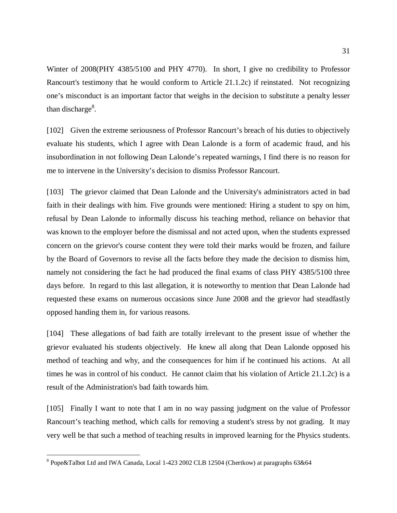Winter of 2008(PHY 4385/5100 and PHY 4770). In short, I give no credibility to Professor Rancourt's testimony that he would conform to Article 21.1.2c) if reinstated. Not recognizing one's misconduct is an important factor that weighs in the decision to substitute a penalty lesser than discharge $8$ .

[102] Given the extreme seriousness of Professor Rancourt's breach of his duties to objectively evaluate his students, which I agree with Dean Lalonde is a form of academic fraud, and his insubordination in not following Dean Lalonde's repeated warnings, I find there is no reason for me to intervene in the University's decision to dismiss Professor Rancourt.

[103] The grievor claimed that Dean Lalonde and the University's administrators acted in bad faith in their dealings with him. Five grounds were mentioned: Hiring a student to spy on him, refusal by Dean Lalonde to informally discuss his teaching method, reliance on behavior that was known to the employer before the dismissal and not acted upon, when the students expressed concern on the grievor's course content they were told their marks would be frozen, and failure by the Board of Governors to revise all the facts before they made the decision to dismiss him, namely not considering the fact he had produced the final exams of class PHY 4385/5100 three days before. In regard to this last allegation, it is noteworthy to mention that Dean Lalonde had requested these exams on numerous occasions since June 2008 and the grievor had steadfastly opposed handing them in, for various reasons.

[104] These allegations of bad faith are totally irrelevant to the present issue of whether the grievor evaluated his students objectively. He knew all along that Dean Lalonde opposed his method of teaching and why, and the consequences for him if he continued his actions. At all times he was in control of his conduct. He cannot claim that his violation of Article 21.1.2c) is a result of the Administration's bad faith towards him.

[105] Finally I want to note that I am in no way passing judgment on the value of Professor Rancourt's teaching method, which calls for removing a student's stress by not grading. It may very well be that such a method of teaching results in improved learning for the Physics students.

 $\overline{a}$ 

<sup>&</sup>lt;sup>8</sup> Pope&Talbot Ltd and IWA Canada, Local 1-423 2002 CLB 12504 (Chertkow) at paragraphs 63&64